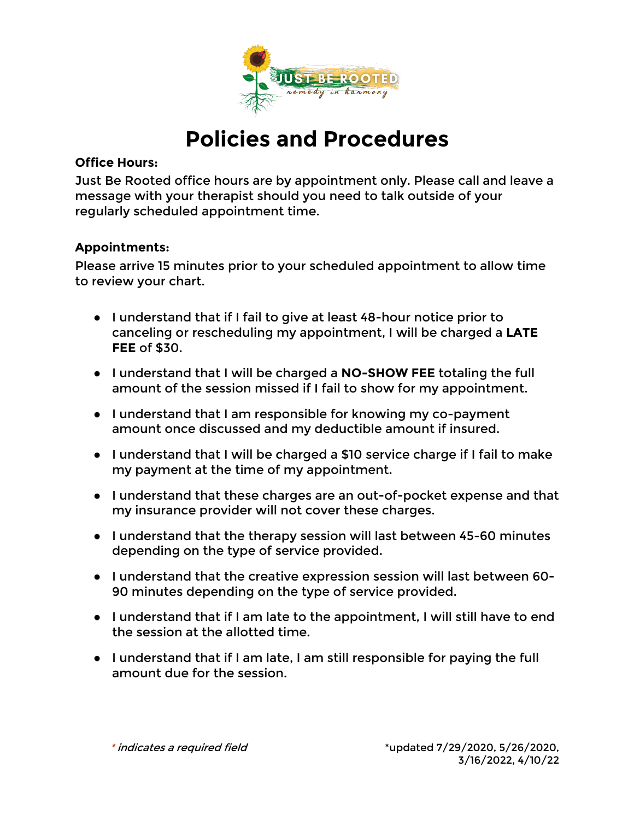

# **Policies and Procedures**

#### **Office Hours:**

Just Be Rooted office hours are by appointment only. Please call and leave a message with your therapist should you need to talk outside of your regularly scheduled appointment time.

## **Appointments:**

Please arrive 15 minutes prior to your scheduled appointment to allow time to review your chart.

- I understand that if I fail to give at least 48-hour notice prior to canceling or rescheduling my appointment, I will be charged a **LATE FEE** of \$30.
- I understand that I will be charged a **NO-SHOW FEE** totaling the full amount of the session missed if I fail to show for my appointment.
- I understand that I am responsible for knowing my co-payment amount once discussed and my deductible amount if insured.
- I understand that I will be charged a \$10 service charge if I fail to make my payment at the time of my appointment.
- I understand that these charges are an out-of-pocket expense and that my insurance provider will not cover these charges.
- I understand that the therapy session will last between 45-60 minutes depending on the type of service provided.
- I understand that the creative expression session will last between 60- 90 minutes depending on the type of service provided.
- I understand that if I am late to the appointment, I will still have to end the session at the allotted time.
- I understand that if I am late, I am still responsible for paying the full amount due for the session.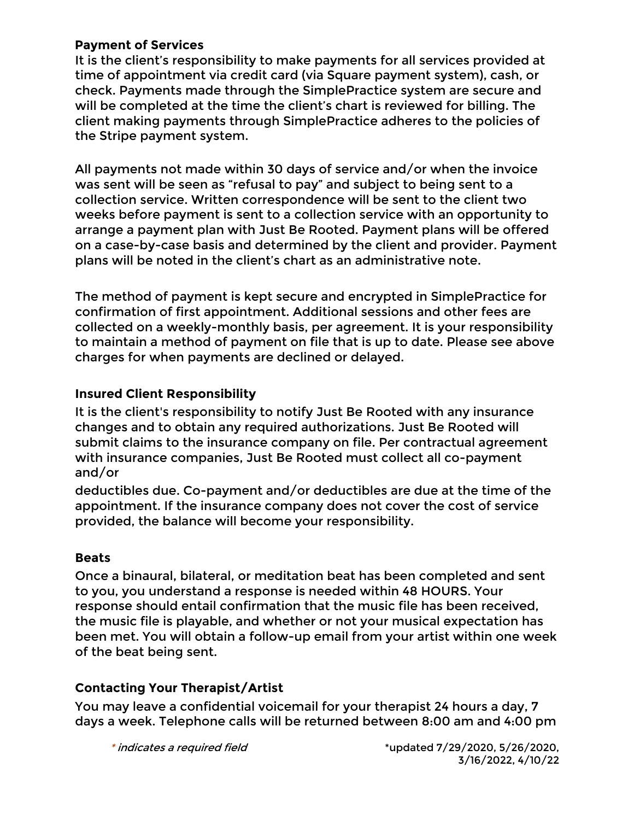## **Payment of Services**

It is the client's responsibility to make payments for all services provided at time of appointment via credit card (via Square payment system), cash, or check. Payments made through the SimplePractice system are secure and will be completed at the time the client's chart is reviewed for billing. The client making payments through SimplePractice adheres to the policies of the Stripe payment system.

All payments not made within 30 days of service and/or when the invoice was sent will be seen as "refusal to pay" and subject to being sent to a collection service. Written correspondence will be sent to the client two weeks before payment is sent to a collection service with an opportunity to arrange a payment plan with Just Be Rooted. Payment plans will be offered on a case-by-case basis and determined by the client and provider. Payment plans will be noted in the client's chart as an administrative note.

The method of payment is kept secure and encrypted in SimplePractice for confirmation of first appointment. Additional sessions and other fees are collected on a weekly-monthly basis, per agreement. It is your responsibility to maintain a method of payment on file that is up to date. Please see above charges for when payments are declined or delayed.

# **Insured Client Responsibility**

It is the client's responsibility to notify Just Be Rooted with any insurance changes and to obtain any required authorizations. Just Be Rooted will submit claims to the insurance company on file. Per contractual agreement with insurance companies, Just Be Rooted must collect all co-payment and/or

deductibles due. Co-payment and/or deductibles are due at the time of the appointment. If the insurance company does not cover the cost of service provided, the balance will become your responsibility.

#### **Beats**

Once a binaural, bilateral, or meditation beat has been completed and sent to you, you understand a response is needed within 48 HOURS. Your response should entail confirmation that the music file has been received, the music file is playable, and whether or not your musical expectation has been met. You will obtain a follow-up email from your artist within one week of the beat being sent.

# **Contacting Your Therapist/Artist**

You may leave a confidential voicemail for your therapist 24 hours a day, 7 days a week. Telephone calls will be returned between 8:00 am and 4:00 pm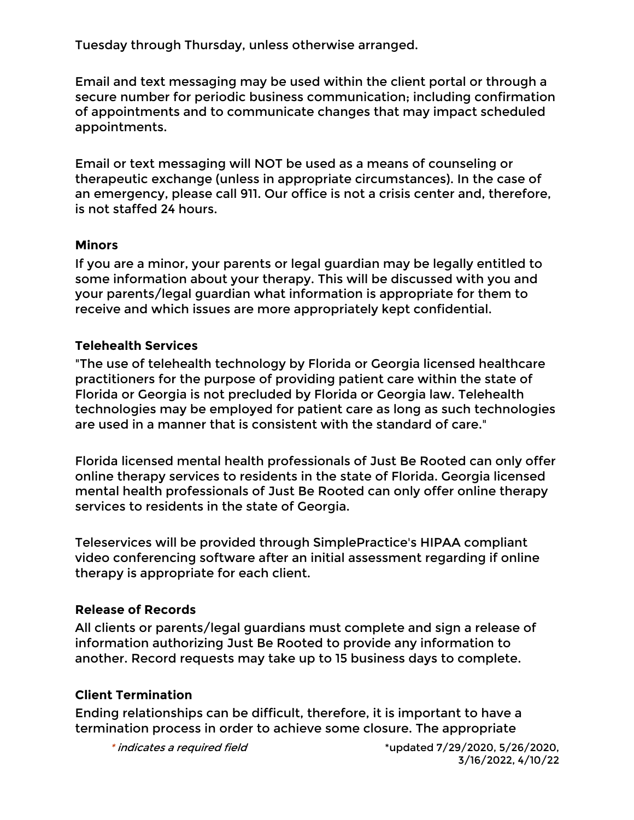Tuesday through Thursday, unless otherwise arranged.

Email and text messaging may be used within the client portal or through a secure number for periodic business communication; including confirmation of appointments and to communicate changes that may impact scheduled appointments.

Email or text messaging will NOT be used as a means of counseling or therapeutic exchange (unless in appropriate circumstances). In the case of an emergency, please call 911. Our office is not a crisis center and, therefore, is not staffed 24 hours.

#### **Minors**

If you are a minor, your parents or legal guardian may be legally entitled to some information about your therapy. This will be discussed with you and your parents/legal guardian what information is appropriate for them to receive and which issues are more appropriately kept confidential.

## **Telehealth Services**

"The use of telehealth technology by Florida or Georgia licensed healthcare practitioners for the purpose of providing patient care within the state of Florida or Georgia is not precluded by Florida or Georgia law. Telehealth technologies may be employed for patient care as long as such technologies are used in a manner that is consistent with the standard of care."

Florida licensed mental health professionals of Just Be Rooted can only offer online therapy services to residents in the state of Florida. Georgia licensed mental health professionals of Just Be Rooted can only offer online therapy services to residents in the state of Georgia.

Teleservices will be provided through SimplePractice's HIPAA compliant video conferencing software after an initial assessment regarding if online therapy is appropriate for each client.

# **Release of Records**

All clients or parents/legal guardians must complete and sign a release of information authorizing Just Be Rooted to provide any information to another. Record requests may take up to 15 business days to complete.

# **Client Termination**

Ending relationships can be difficult, therefore, it is important to have a termination process in order to achieve some closure. The appropriate